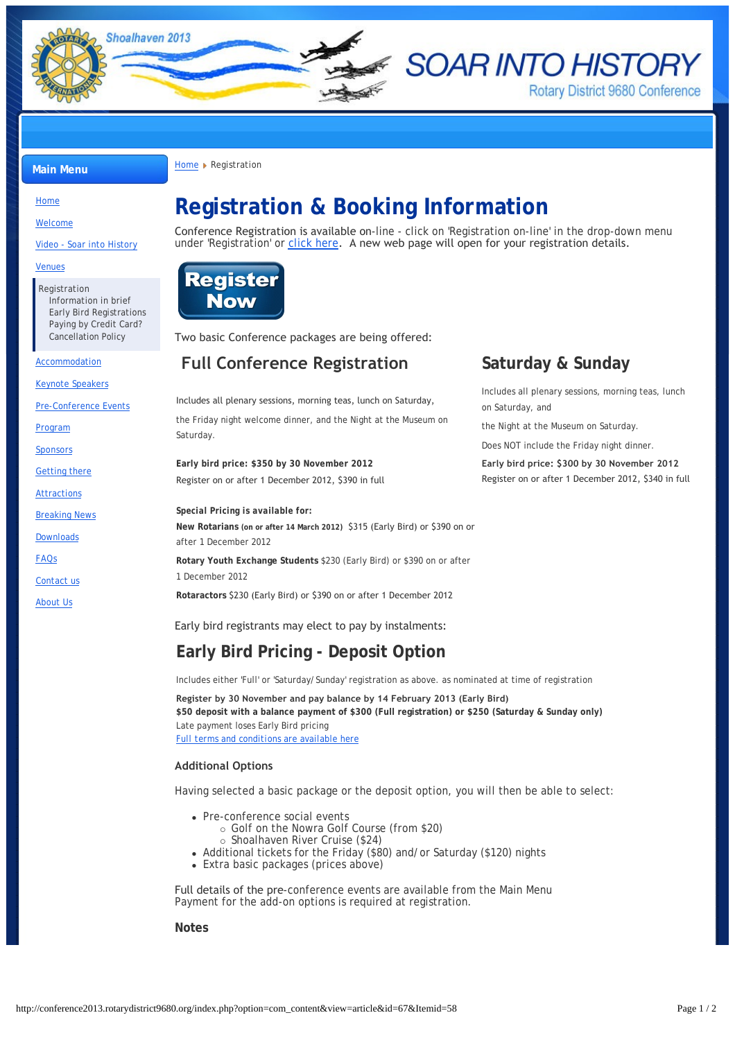

**SOAR INTO HISTORY Rotary District 9680 Conference** 

Includes all plenary sessions, morning teas, lunch

the Night at the Museum on Saturday. Does NOT include the Friday night dinner.

on Saturday, and

**Main Menu [Home](http://conference2013.rotarydistrict9680.org/) Registration** 

## [Home](http://conference2013.rotarydistrict9680.org/)

[Welcome](http://conference2013.rotarydistrict9680.org/index.php?option=com_content&view=article&id=46&Itemid=106)

[Video - Soar into History](http://conference2013.rotarydistrict9680.org/index.php?option=com_content&view=article&id=97&Itemid=119)

#### [Venues](http://conference2013.rotarydistrict9680.org/index.php?option=com_content&view=article&id=94&Itemid=120)

[Registration](http://conference2013.rotarydistrict9680.org/index.php?option=com_content&view=article&id=67&Itemid=58) [Information in brief](http://conference2013.rotarydistrict9680.org/index.php?option=com_content&view=article&id=67&Itemid=87) [Early Bird Registrations](http://conference2013.rotarydistrict9680.org/index.php?option=com_content&view=article&id=62&Itemid=96) [Paying by Credit Card?](http://www.clubrunner.ca/Data/9680//HTML/141456//PayByCreditCard.pdf) [Cancellation Policy](http://conference2013.rotarydistrict9680.org/index.php?option=com_content&view=article&id=95&Itemid=105)

#### [Accommodation](http://conference2013.rotarydistrict9680.org/index.php?option=com_content&view=article&id=58&Itemid=57)

[Keynote Speakers](http://conference2013.rotarydistrict9680.org/index.php?option=com_content&view=article&id=47&Itemid=53)

[Pre-Conference Events](http://conference2013.rotarydistrict9680.org/index.php?option=com_content&view=article&id=79&Itemid=115)

[Program](http://conference2013.rotarydistrict9680.org/index.php?option=com_content&view=article&id=92&Itemid=55)

**[Sponsors](http://conference2013.rotarydistrict9680.org/index.php?option=com_content&view=article&id=88&Itemid=108)** 

[Getting there](http://conference2013.rotarydistrict9680.org/index.php?option=com_content&view=article&id=50&Itemid=56)

[Attractions](http://conference2013.rotarydistrict9680.org/index.php?option=com_content&view=article&id=53&Itemid=59)

[Breaking News](http://conference2013.rotarydistrict9680.org/index.php?option=com_content&view=article&id=96&Itemid=60)

[Downloads](http://conference2013.rotarydistrict9680.org/index.php?option=com_content&view=article&id=60&Itemid=78)

[FAQs](http://conference2013.rotarydistrict9680.org/index.php?option=com_content&view=article&id=64&Itemid=85)

[Contact us](http://conference2013.rotarydistrict9680.org/index.php?option=com_breezingforms&view=form&Itemid=61)

[About Us](http://conference2013.rotarydistrict9680.org/index.php?option=com_content&view=article&id=59&Itemid=124)

# **Registration & Booking Information**

Conference Registration is available on-line - click on 'Registration on-line' in the drop-down menu under 'Registration' or [click here](http://www.crsadmin.com/EventPortal/Registrations/PublicFill/EventPublicFill.aspx?evtid=441ae22a-3d20-48ee-8ea0-74be5242d55b). A new web page will open for your registration details.



Two basic Conference packages are being offered:

## **Full Conference Registration Saturday & Sunday**

Includes all plenary sessions, morning teas, lunch on Saturday, the Friday night welcome dinner, and the Night at the Museum on Saturday.

**Early bird price: \$350 by 30 November 2012 Early bird price: \$300 by 30 November 2012** Register on or after 1 December 2012, \$390 in full Register on or after 1 December 2012, \$340 in full

### *Special Pricing is available for:*

**New Rotarians (on or after 14 March 2012)** \$315 (Early Bird) or \$390 on or after 1 December 2012

**Rotary Youth Exchange Students** \$230 (Early Bird) or \$390 on or after 1 December 2012

**Rotaractors** \$230 (Early Bird) or \$390 on or after 1 December 2012

Early bird registrants may elect to pay by instalments:

# **Early Bird Pricing - Deposit Option**

Includes either 'Full' or 'Saturday/Sunday' registration as above. as nominated at time of registration

**Register by 30 November and pay balance by 14 February 2013 (Early Bird) \$50 deposit with a balance payment of \$300 (Full registration) or \$250 (Saturday & Sunday only)** Late payment loses Early Bird pricing *[Full terms and conditions are available here](http://conference2013.rotarydistrict9680.org/index.php?option=com_content&view=article&id=62&Itemid=96)*

## **Additional Options**

Having selected a basic package or the deposit option, you will then be able to select:

- Pre-conference social events
	- ¡ Golf on the Nowra Golf Course (from \$20)
	- ¡ Shoalhaven River Cruise (\$24)
- Additional tickets for the Friday (\$80) and/or Saturday (\$120) nights
- Extra basic packages (prices above)

Full details of the pre-conference events are available from the Main Menu Payment for the add-on options is required at registration.

**Notes**